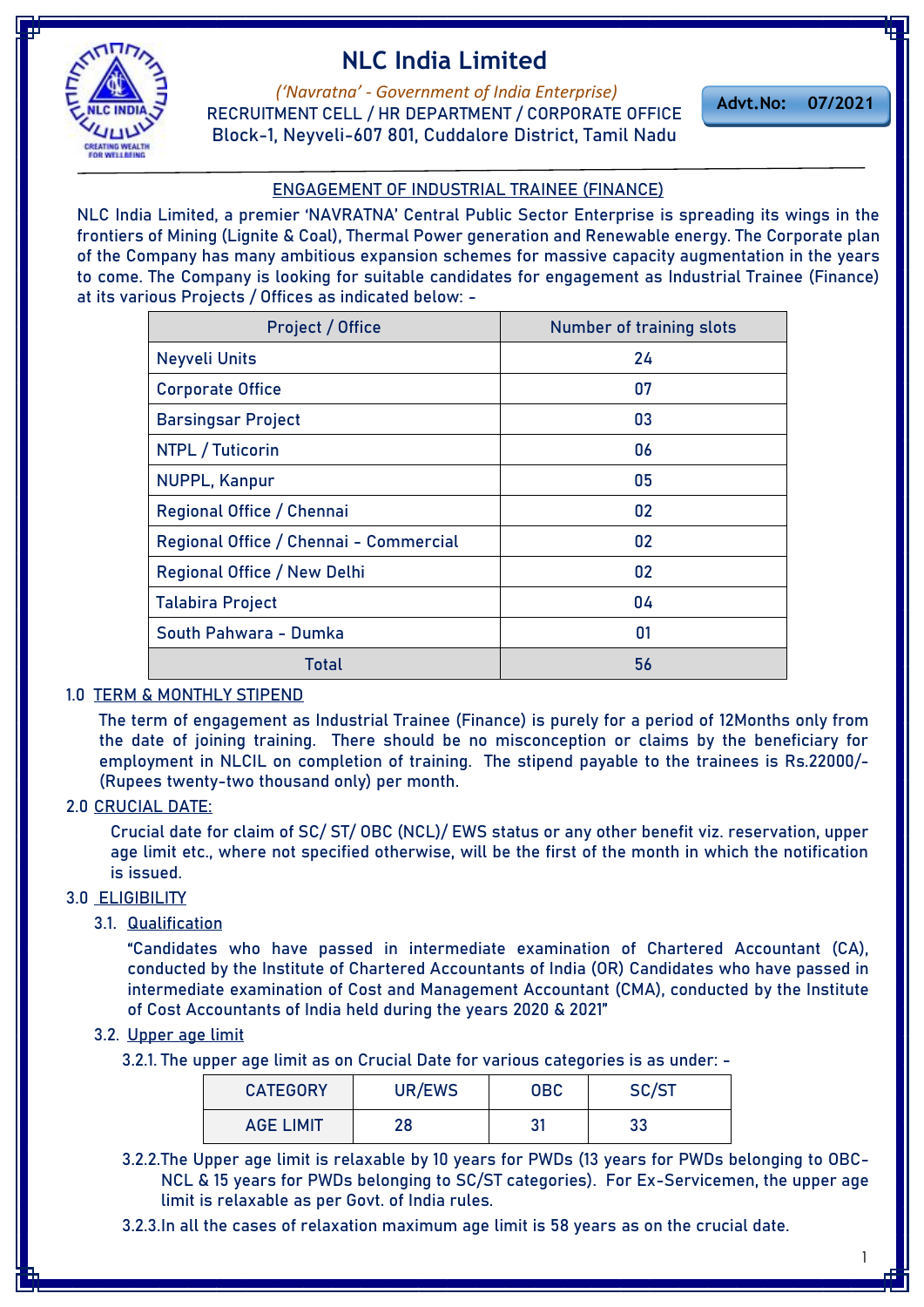



*('Navratna' - Government of India Enterprise)* **RECRUITMENT CELL / HR DEPARTMENT / CORPORATE OFFICE Block-1, Neyveli-607 801, Cuddalore District, Tamil Nadu**

**Advt.No: 07/2021**

## **ENGAGEMENT OF INDUSTRIAL TRAINEE (FINANCE)**

NLC India Limited, a premier 'NAVRATNA' Central Public Sector Enterprise is spreading its wings in the [frontiers of Mining \(Lignite & Coal\), Thermal Power generation and Renewable energy. The Corporate plan](https://govtjobsalert.in/)  of the Company has many ambitious expansion schemes for massive capacity augmentation in the years to come. The Company is looking for suitable candidates for engagement as Industrial Trainee (Finance) at its various Projects / Offices as indicated below: -

| Project / Office                       | <b>Number of training slots</b> |  |
|----------------------------------------|---------------------------------|--|
| <b>Neyveli Units</b>                   | 24                              |  |
| <b>Corporate Office</b>                | 07                              |  |
| <b>Barsingsar Project</b>              | 03                              |  |
| NTPL / Tuticorin                       | 06                              |  |
| <b>NUPPL, Kanpur</b>                   | 05                              |  |
| Regional Office / Chennai              | 02                              |  |
| Regional Office / Chennai - Commercial | 02                              |  |
| Regional Office / New Delhi            | 02                              |  |
| <b>Talabira Project</b>                | 04                              |  |
| South Pahwara - Dumka                  | 01                              |  |
| Total                                  | 56                              |  |

### **1.0 TERM & MONTHLY STIPEND**

The term of engagement as Industrial Trainee (Finance) is purely for a period of **12Months** only from the date of joining training. There should be no misconception or claims by the beneficiary for employment in NLCIL on completion of training. The stipend payable to the trainees is **Rs.22000/- (Rupees twenty-two thousand only) per month**.

#### **2.0 CRUCIAL DATE:**

Crucial date for claim of SC/ ST/ OBC (NCL)/ EWS status or any other benefit viz. reservation, upper age limit etc., where not specified otherwise, will be the first of the month in which the notification is issued.

## **3.0 ELIGIBILITY**

3.1. **Qualification**

**"**Candidates who have passed in intermediate examination of Chartered Accountant (CA), conducted by the Institute of Chartered Accountants of India (OR) Candidates who have passed in intermediate examination of Cost and Management Accountant (CMA), conducted by the Institute of Cost Accountants of India held during the years 2020 & 2021"

### 3.2. **Upper age limit**

3.2.1. The upper age limit as on Crucial Date for various categories is as under: -

| <b>CATEGORY</b>  | UR/EWS | <b>OBC</b> | SC/ST |  |
|------------------|--------|------------|-------|--|
| <b>AGE LIMIT</b> | סר     | ر 21       | 33    |  |

3.2.2.The Upper age limit is relaxable by 10 years for PWDs (13 years for PWDs belonging to OBC-NCL & 15 years for PWDs belonging to SC/ST categories). For Ex-Servicemen, the upper age limit is relaxable as per Govt. of India rules.

3.2.3.In all the cases of relaxation maximum age limit is 58 years as on the crucial date.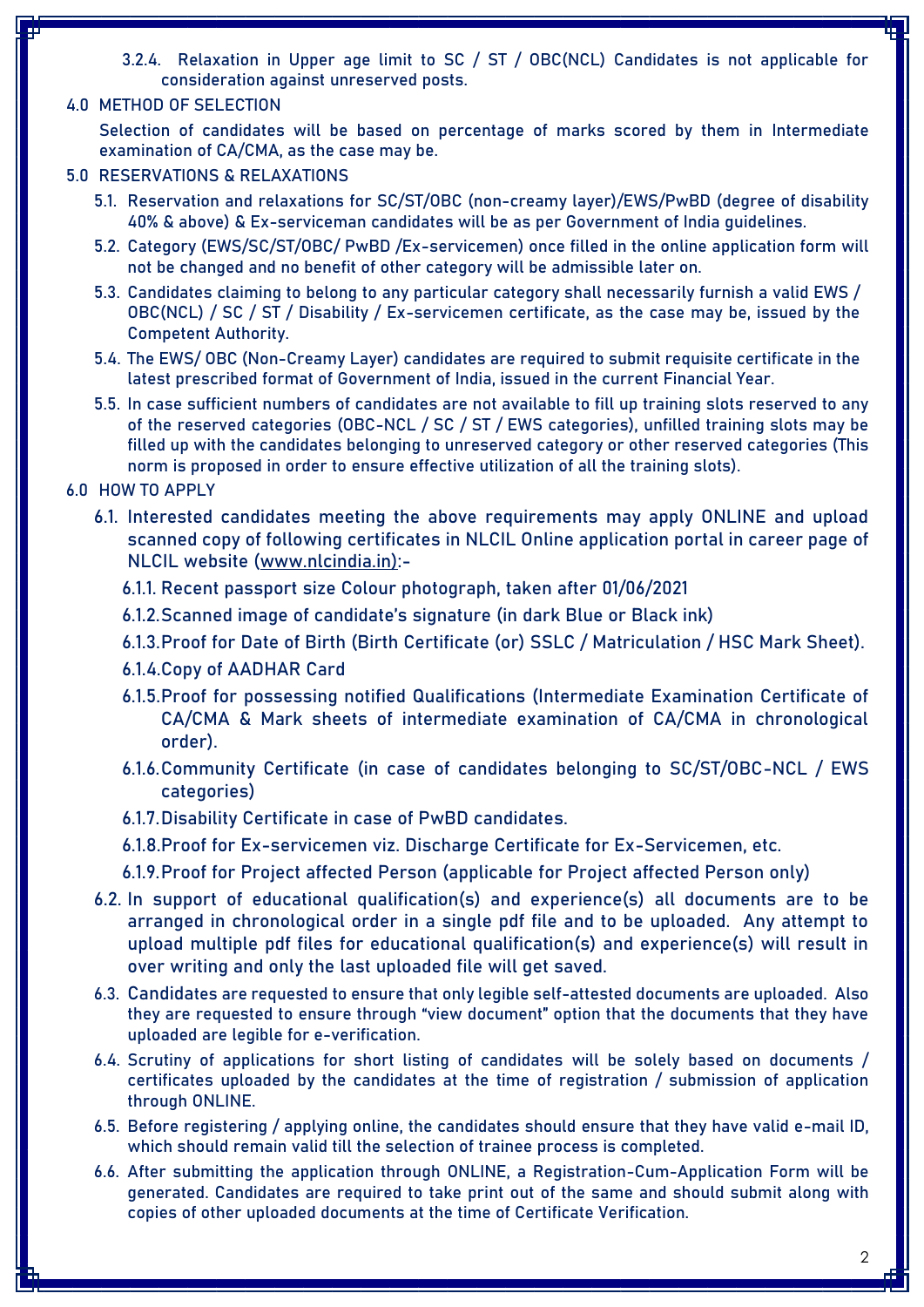- 3.2.4. Relaxation in Upper age limit to SC / ST / OBC(NCL) Candidates is not applicable for consideration against unreserved posts.
- **4.0 METHOD OF SELECTION**

Selection of candidates will be based on percentage of marks scored by them in Intermediate examination of CA/CMA, as the case may be.

- **5.0 RESERVATIONS & RELAXATIONS**
	- 5.1. Reservation and relaxations for SC/ST/OBC (non-creamy layer)/EWS/PwBD (degree of disability 40% & above) & Ex-serviceman candidates will be as per Government of India guidelines.
	- 5.2. Category (EWS/SC/ST/OBC/ PwBD /Ex-servicemen) once filled in the online application form will not be changed and no benefit of other category will be admissible later on.
	- 5.3. Candidates claiming to belong to any particular category shall necessarily furnish a valid EWS / OBC(NCL) / SC / ST / Disability / Ex-servicemen certificate, as the case may be, issued by the Competent Authority.
	- 5.4. The EWS/ OBC (Non-Creamy Layer) candidates are required to submit requisite certificate in the latest prescribed format of Government of India, issued in the current Financial Year.
	- 5.5. In case sufficient numbers of candidates are not available to fill up training slots reserved to any of the reserved categories (OBC-NCL / SC / ST / EWS categories), unfilled training slots may be filled up with the candidates belonging to unreserved category or other reserved categories (This norm is proposed in order to ensure effective utilization of all the training slots).
- **6.0 HOW TO APPLY**
	- 6.1. Interested candidates meeting the above requirements may apply ONLINE and upload scanned copy of following certificates in NLCIL Online application portal in career page of NLCIL website [\(www.nlcindia.in\):-](http://www.nlcindia.in):-)
		- 6.1.1. Recent passport size Colour photograph, taken after 01/06/2021
		- 6.1.2.Scanned image of candidate's signature (in dark Blue or Black ink)
		- 6.1.3.Proof for Date of Birth (Birth Certificate (or) SSLC / Matriculation / HSC Mark Sheet).
		- 6.1.4.Copy of AADHAR Card
		- 6.1.5.Proof for possessing notified Qualifications (Intermediate Examination Certificate of CA/CMA & Mark sheets of intermediate examination of CA/CMA in chronological order).
		- 6.1.6.Community Certificate (in case of candidates belonging to SC/ST/OBC-NCL / EWS categories)
		- 6.1.7.Disability Certificate in case of PwBD candidates.
		- 6.1.8.Proof for Ex-servicemen viz. Discharge Certificate for Ex-Servicemen, etc.
		- 6.1.9.Proof for Project affected Person (applicable for Project affected Person only)
	- 6.2. In support of educational qualification(s) and experience(s) all documents are to be arranged in chronological order in a single pdf file and to be uploaded. Any attempt to upload multiple pdf files for educational qualification(s) and experience(s) will result in over writing and only the last uploaded file will get saved.
	- 6.3. Candidates are requested to ensure that only legible self-attested documents are uploaded. Also they are requested to ensure through "view document" option that the documents that they have uploaded are legible for e-verification.
	- 6.4. Scrutiny of applications for short listing of candidates will be solely based on documents / certificates uploaded by the candidates at the time of registration / submission of application through ONLINE.
	- 6.5. Before registering / applying online, the candidates should ensure that they have valid e-mail ID, which should remain valid till the selection of trainee process is completed.
	- 6.6. After submitting the application through ONLINE, a Registration-Cum-Application Form will be generated. Candidates are required to take print out of the same and should submit along with copies of other uploaded documents at the time of Certificate Verification.

2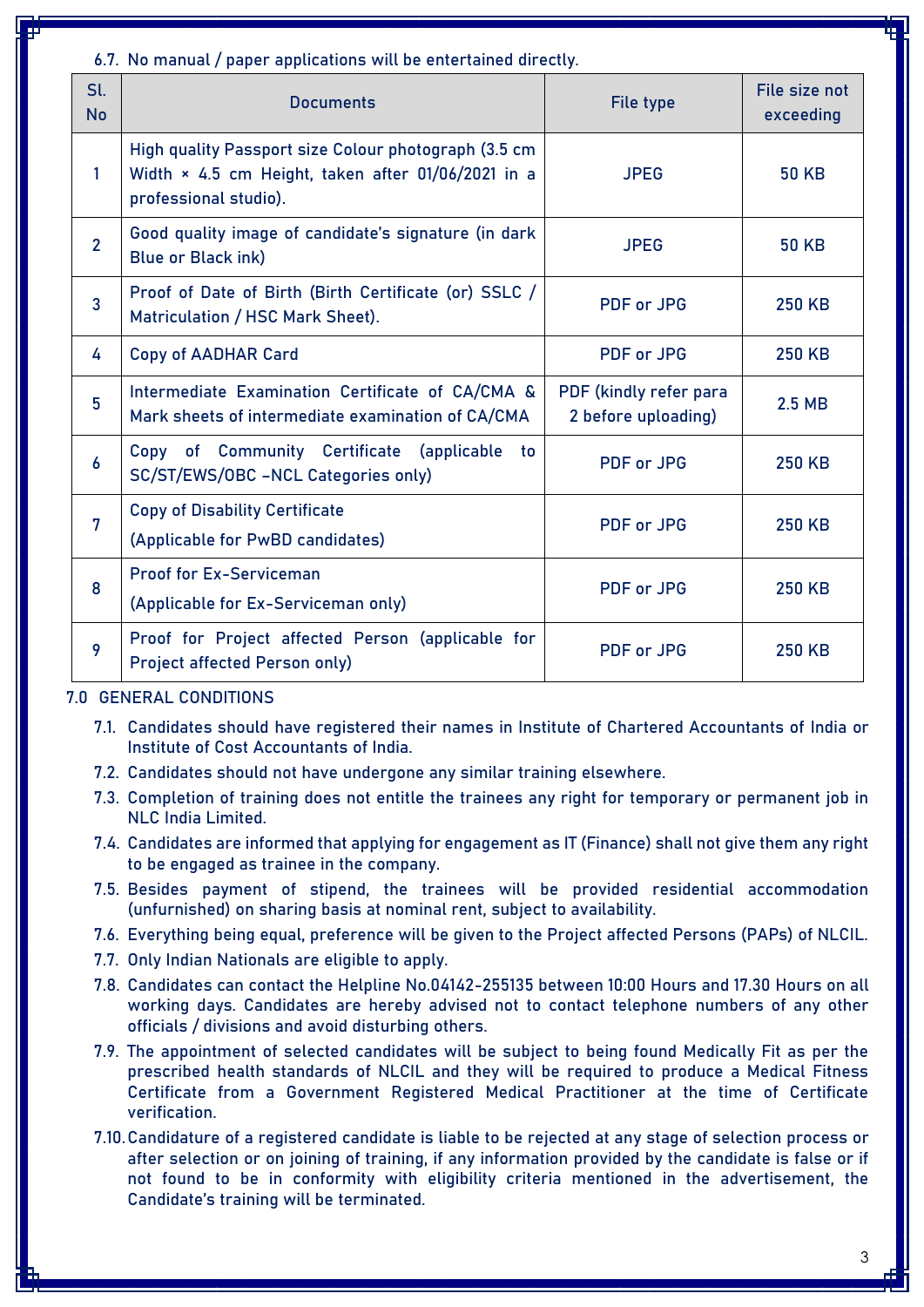6.7. No manual / paper applications will be entertained directly.

| Sl.<br><b>No</b> | <b>Documents</b>                                                                                                                    | File type                                     | File size not<br>exceeding |
|------------------|-------------------------------------------------------------------------------------------------------------------------------------|-----------------------------------------------|----------------------------|
| 1                | High quality Passport size Colour photograph (3.5 cm<br>Width × 4.5 cm Height, taken after 01/06/2021 in a<br>professional studio). | <b>JPEG</b>                                   | <b>50 KB</b>               |
| $\overline{2}$   | Good quality image of candidate's signature (in dark<br><b>Blue or Black ink)</b>                                                   | <b>JPEG</b>                                   | <b>50 KB</b>               |
| $\overline{3}$   | Proof of Date of Birth (Birth Certificate (or) SSLC /<br>Matriculation / HSC Mark Sheet).                                           | <b>PDF</b> or JPG                             | <b>250 KB</b>              |
| 4                | <b>Copy of AADHAR Card</b>                                                                                                          | <b>PDF</b> or JPG                             | <b>250 KB</b>              |
| 5                | Intermediate Examination Certificate of CA/CMA &<br>Mark sheets of intermediate examination of CA/CMA                               | PDF (kindly refer para<br>2 before uploading) | $2.5$ MB                   |
| $\boldsymbol{6}$ | Copy of Community Certificate (applicable<br>to.<br>SC/ST/EWS/OBC -NCL Categories only)                                             | <b>PDF or JPG</b>                             | <b>250 KB</b>              |
| 7                | <b>Copy of Disability Certificate</b><br>(Applicable for PwBD candidates)                                                           | <b>PDF</b> or JPG                             | <b>250 KB</b>              |
| 8                | <b>Proof for Ex-Serviceman</b><br>(Applicable for Ex-Serviceman only)                                                               | <b>PDF</b> or JPG                             | <b>250 KB</b>              |
| 9                | Proof for Project affected Person (applicable for<br><b>Project affected Person only)</b>                                           | <b>PDF</b> or JPG                             | <b>250 KB</b>              |

**7.0 GENERAL CONDITIONS**

- 7.1. Candidates should have registered their names in Institute of Chartered Accountants of India or Institute of Cost Accountants of India.
- 7.2. Candidates should not have undergone any similar training elsewhere.
- 7.3. Completion of training does not entitle the trainees any right for temporary or permanent job in NLC India Limited.
- 7.4. Candidates are informed that applying for engagement as IT (Finance) shall not give them any right to be engaged as trainee in the company.
- 7.5. Besides payment of stipend, the trainees will be provided residential accommodation (unfurnished) on sharing basis at nominal rent, subject to availability.
- 7.6. Everything being equal, preference will be given to the Project affected Persons (PAPs) of NLCIL.
- 7.7. Only Indian Nationals are eligible to apply.
- 7.8. Candidates can contact the Helpline No.04142-255135 between 10:00 Hours and 17.30 Hours on all working days. Candidates are hereby advised not to contact telephone numbers of any other officials / divisions and avoid disturbing others.
- 7.9. The appointment of selected candidates will be subject to being found Medically Fit as per the prescribed health standards of NLCIL and they will be required to produce a Medical Fitness Certificate from a Government Registered Medical Practitioner at the time of Certificate verification.
- 7.10.Candidature of a registered candidate is liable to be rejected at any stage of selection process or after selection or on joining of training, if any information provided by the candidate is false or if not found to be in conformity with eligibility criteria mentioned in the advertisement, the Candidate's training will be terminated.